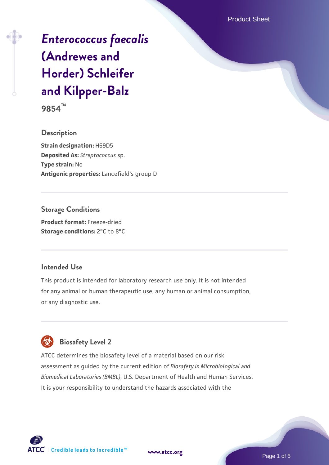Product Sheet

# *[Enterococcus faecalis](https://www.atcc.org/products/9854)* **[\(Andrewes and](https://www.atcc.org/products/9854) [Horder\) Schleifer](https://www.atcc.org/products/9854) [and Kilpper-Balz](https://www.atcc.org/products/9854)**

**9854™**

**Description Strain designation:** H69D5 **Deposited As:** *Streptococcus* sp. **Type strain:** No **Antigenic properties:** Lancefield's group D

**Storage Conditions Product format:** Freeze-dried **Storage conditions: 2°C to 8°C** 

#### **Intended Use**

This product is intended for laboratory research use only. It is not intended for any animal or human therapeutic use, any human or animal consumption, or any diagnostic use.



# **Biosafety Level 2**

ATCC determines the biosafety level of a material based on our risk assessment as guided by the current edition of *Biosafety in Microbiological and Biomedical Laboratories (BMBL)*, U.S. Department of Health and Human Services. It is your responsibility to understand the hazards associated with the



**[www.atcc.org](http://www.atcc.org)**

Page 1 of 5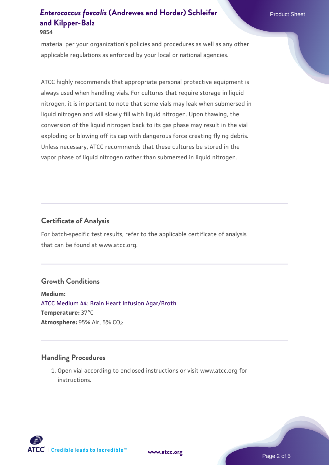material per your organization's policies and procedures as well as any other applicable regulations as enforced by your local or national agencies.

ATCC highly recommends that appropriate personal protective equipment is always used when handling vials. For cultures that require storage in liquid nitrogen, it is important to note that some vials may leak when submersed in liquid nitrogen and will slowly fill with liquid nitrogen. Upon thawing, the conversion of the liquid nitrogen back to its gas phase may result in the vial exploding or blowing off its cap with dangerous force creating flying debris. Unless necessary, ATCC recommends that these cultures be stored in the vapor phase of liquid nitrogen rather than submersed in liquid nitrogen.

## **Certificate of Analysis**

For batch-specific test results, refer to the applicable certificate of analysis that can be found at www.atcc.org.

#### **Growth Conditions**

**Medium:**  [ATCC Medium 44: Brain Heart Infusion Agar/Broth](https://www.atcc.org/-/media/product-assets/documents/microbial-media-formulations/4/4/atcc-medium-44.pdf?rev=ce06ac4e5438493b896cd46c7d875629) **Temperature:** 37°C **Atmosphere: 95% Air, 5% CO<sub>2</sub>** 

#### **Handling Procedures**

1. Open vial according to enclosed instructions or visit www.atcc.org for instructions.



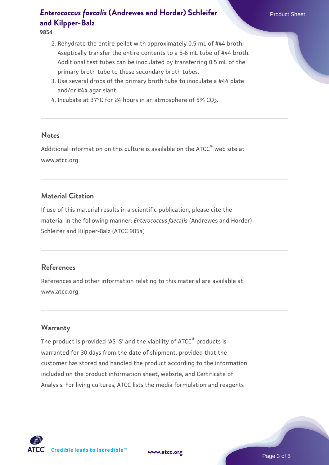#### **9854**

- 2. Rehydrate the entire pellet with approximately 0.5 mL of #44 broth. Aseptically transfer the entire contents to a 5-6 mL tube of #44 broth. Additional test tubes can be inoculated by transferring 0.5 mL of the primary broth tube to these secondary broth tubes.
- 3. Use several drops of the primary broth tube to inoculate a #44 plate and/or #44 agar slant.
- 4. Incubate at 37°C for 24 hours in an atmosphere of 5% CO<sub>2</sub>.

#### **Notes**

Additional information on this culture is available on the ATCC<sup>®</sup> web site at www.atcc.org.

#### **Material Citation**

If use of this material results in a scientific publication, please cite the material in the following manner: *Enterococcus faecalis* (Andrewes and Horder) Schleifer and Kilpper-Balz (ATCC 9854)

#### **References**

References and other information relating to this material are available at www.atcc.org.

#### **Warranty**

The product is provided 'AS IS' and the viability of ATCC® products is warranted for 30 days from the date of shipment, provided that the customer has stored and handled the product according to the information included on the product information sheet, website, and Certificate of Analysis. For living cultures, ATCC lists the media formulation and reagents

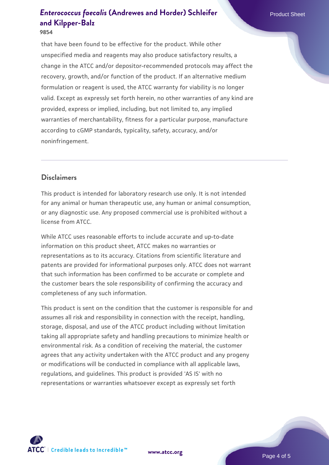#### **9854**

that have been found to be effective for the product. While other unspecified media and reagents may also produce satisfactory results, a change in the ATCC and/or depositor-recommended protocols may affect the recovery, growth, and/or function of the product. If an alternative medium formulation or reagent is used, the ATCC warranty for viability is no longer valid. Except as expressly set forth herein, no other warranties of any kind are provided, express or implied, including, but not limited to, any implied warranties of merchantability, fitness for a particular purpose, manufacture according to cGMP standards, typicality, safety, accuracy, and/or noninfringement.

# **Disclaimers**

This product is intended for laboratory research use only. It is not intended for any animal or human therapeutic use, any human or animal consumption, or any diagnostic use. Any proposed commercial use is prohibited without a license from ATCC.

While ATCC uses reasonable efforts to include accurate and up-to-date information on this product sheet, ATCC makes no warranties or representations as to its accuracy. Citations from scientific literature and patents are provided for informational purposes only. ATCC does not warrant that such information has been confirmed to be accurate or complete and the customer bears the sole responsibility of confirming the accuracy and completeness of any such information.

This product is sent on the condition that the customer is responsible for and assumes all risk and responsibility in connection with the receipt, handling, storage, disposal, and use of the ATCC product including without limitation taking all appropriate safety and handling precautions to minimize health or environmental risk. As a condition of receiving the material, the customer agrees that any activity undertaken with the ATCC product and any progeny or modifications will be conducted in compliance with all applicable laws, regulations, and guidelines. This product is provided 'AS IS' with no representations or warranties whatsoever except as expressly set forth